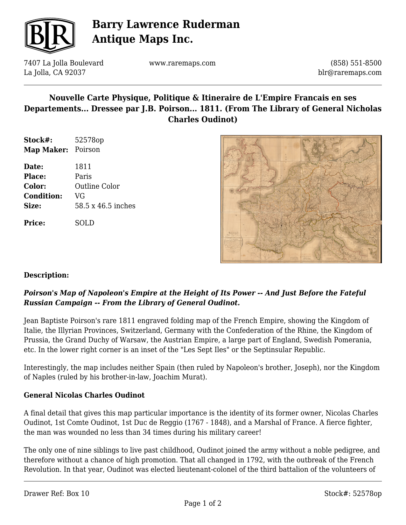

# **Barry Lawrence Ruderman Antique Maps Inc.**

7407 La Jolla Boulevard La Jolla, CA 92037

www.raremaps.com

(858) 551-8500 blr@raremaps.com

## **Nouvelle Carte Physique, Politique & Itineraire de L'Empire Francais en ses Departements... Dressee par J.B. Poirson... 1811. (From The Library of General Nicholas Charles Oudinot)**

- **Stock#:** 52578op **Map Maker:** Poirson
- **Date:** 1811 **Place:** Paris **Color:** Outline Color **Condition:** VG **Size:** 58.5 x 46.5 inches

**Price:** SOLD



### **Description:**

#### *Poirson's Map of Napoleon's Empire at the Height of Its Power -- And Just Before the Fateful Russian Campaign -- From the Library of General Oudinot.*

Jean Baptiste Poirson's rare 1811 engraved folding map of the French Empire, showing the Kingdom of Italie, the Illyrian Provinces, Switzerland, Germany with the Confederation of the Rhine, the Kingdom of Prussia, the Grand Duchy of Warsaw, the Austrian Empire, a large part of England, Swedish Pomerania, etc. In the lower right corner is an inset of the "Les Sept Iles" or the Septinsular Republic.

Interestingly, the map includes neither Spain (then ruled by Napoleon's brother, Joseph), nor the Kingdom of Naples (ruled by his brother-in-law, Joachim Murat).

#### **General Nicolas Charles Oudinot**

A final detail that gives this map particular importance is the identity of its former owner, Nicolas Charles Oudinot, 1st Comte Oudinot, 1st Duc de Reggio (1767 - 1848), and a Marshal of France. A fierce fighter, the man was wounded no less than 34 times during his military career!

The only one of nine siblings to live past childhood, Oudinot joined the army without a noble pedigree, and therefore without a chance of high promotion. That all changed in 1792, with the outbreak of the French Revolution. In that year, Oudinot was elected lieutenant-colonel of the third battalion of the volunteers of